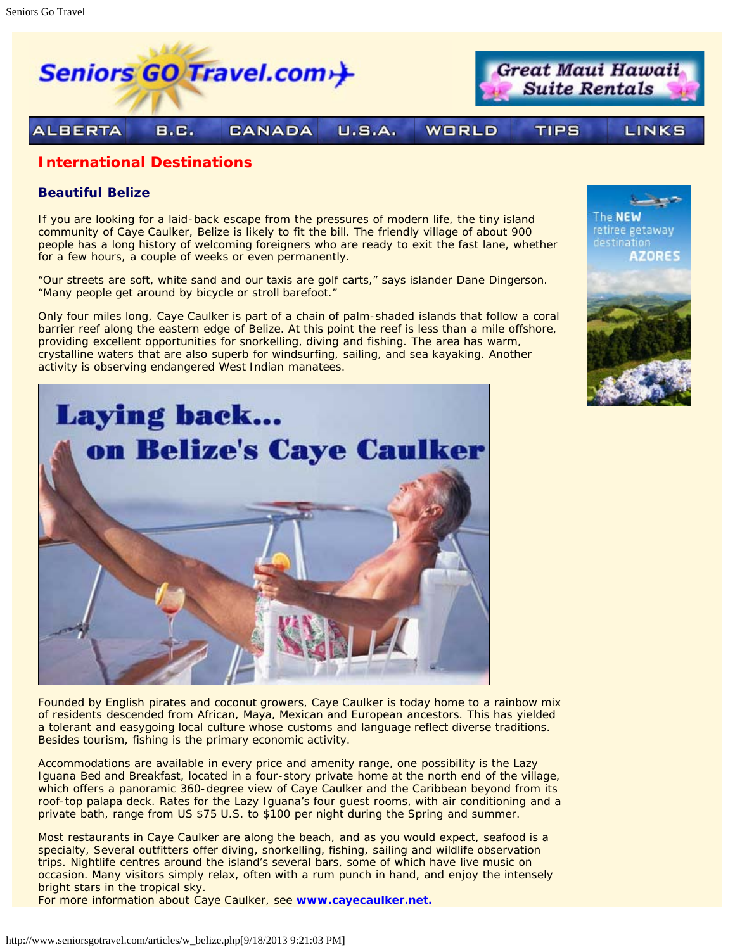

## **International Destinations**

## **Beautiful Belize**

If you are looking for a laid-back escape from the pressures of modern life, the tiny island community of Caye Caulker, Belize is likely to fit the bill. The friendly village of about 900 people has a long history of welcoming foreigners who are ready to exit the fast lane, whether for a few hours, a couple of weeks or even permanently.

"Our streets are soft, white sand and our taxis are golf carts," says islander Dane Dingerson. "Many people get around by bicycle or stroll barefoot."

Only four miles long, Caye Caulker is part of a chain of palm-shaded islands that follow a coral barrier reef along the eastern edge of Belize. At this point the reef is less than a mile offshore, providing excellent opportunities for snorkelling, diving and fishing. The area has warm, crystalline waters that are also superb for windsurfing, sailing, and sea kayaking. Another activity is observing endangered West Indian manatees.



Founded by English pirates and coconut growers, Caye Caulker is today home to a rainbow mix of residents descended from African, Maya, Mexican and European ancestors. This has yielded a tolerant and easygoing local culture whose customs and language reflect diverse traditions. Besides tourism, fishing is the primary economic activity.

Accommodations are available in every price and amenity range, one possibility is the Lazy Iguana Bed and Breakfast, located in a four-story private home at the north end of the village, which offers a panoramic 360-degree view of Caye Caulker and the Caribbean beyond from its roof-top palapa deck. Rates for the Lazy Iguana's four guest rooms, with air conditioning and a private bath, range from US \$75 U.S. to \$100 per night during the Spring and summer.

Most restaurants in Caye Caulker are along the beach, and as you would expect, seafood is a specialty, Several outfitters offer diving, snorkelling, fishing, sailing and wildlife observation trips. Nightlife centres around the island's several bars, some of which have live music on occasion. Many visitors simply relax, often with a rum punch in hand, and enjoy the intensely bright stars in the tropical sky.

For more information about Caye Caulker, see **[www.cayecaulker.net.](http://www.cayecaulker.net/)**